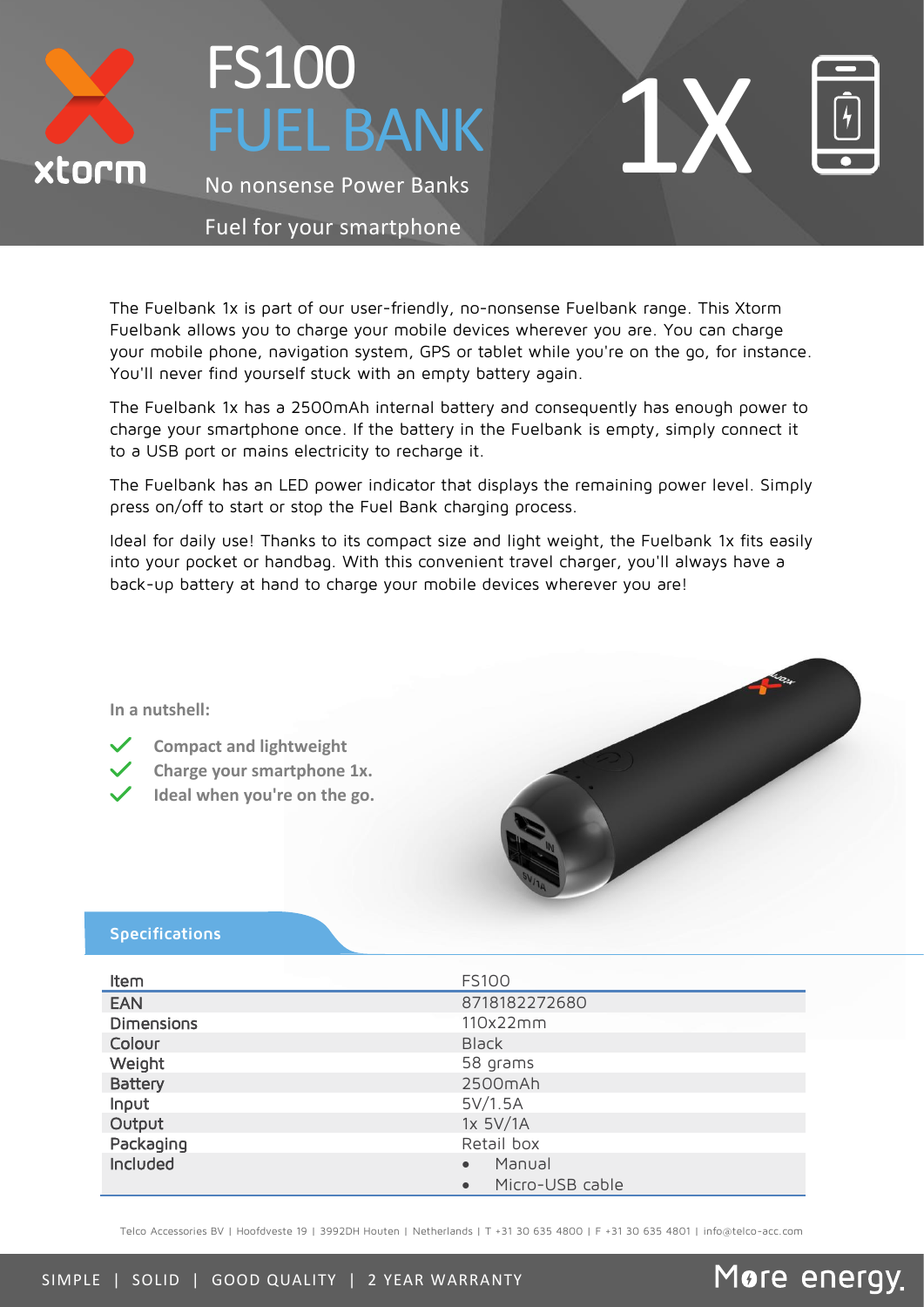

# FS100 **UEL BANK**

No nonsense Power Banks

#### Fuel for your smartphone

The Fuelbank 1x is part of our user-friendly, no-nonsense Fuelbank range. This Xtorm Fuelbank allows you to charge your mobile devices wherever you are. You can charge your mobile phone, navigation system, GPS or tablet while you're on the go, for instance. You'll never find yourself stuck with an empty battery again.

The Fuelbank 1x has a 2500mAh internal battery and consequently has enough power to charge your smartphone once. If the battery in the Fuelbank is empty, simply connect it to a USB port or mains electricity to recharge it.

The Fuelbank has an LED power indicator that displays the remaining power level. Simply press on/off to start or stop the Fuel Bank charging process.

Ideal for daily use! Thanks to its compact size and light weight, the Fuelbank 1x fits easily into your pocket or handbag. With this convenient travel charger, you'll always have a back-up battery at hand to charge your mobile devices wherever you are!

**In a nutshell:**

- **Compact and lightweight**
- **Charge your smartphone 1x.**
- **Ideal when you're on the go.**



More energy.

1X

#### **Specifications**

| Item              | <b>FS100</b>                 |
|-------------------|------------------------------|
| <b>EAN</b>        | 8718182272680                |
| <b>Dimensions</b> | 110x22mm                     |
| Colour            | <b>Black</b>                 |
| Weight            | 58 grams                     |
| <b>Battery</b>    | 2500mAh                      |
| Input             | 5V/1.5A                      |
| Output            | 1x 5V/1A                     |
| Packaging         | Retail box                   |
| Included          | Manual<br>$\bullet$          |
|                   | Micro-USB cable<br>$\bullet$ |

Telco Accessories BV | Hoofdveste 19 | 3992DH Houten | Netherlands | T +31 30 635 4800 | F +31 30 635 4801 | info@telco-acc.com